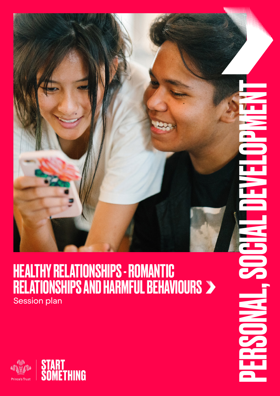

### HEALTHY RELATIONSHIPS - ROMANTIC RELATIONSHIPS AND HARMFUL BEHAVIOURS Session plan

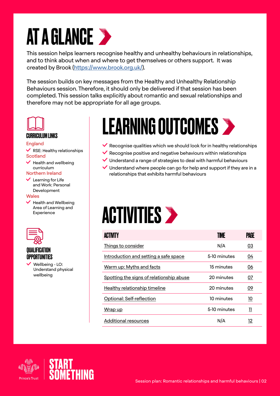# **AT A GLANCE >**

This session helps learners recognise healthy and unhealthy behaviours in relationships, and to think about when and where to get themselves or others support. It was created by Brook [\(https://www.brook.org.uk/\)](https://www.brook.org.uk/).

The session builds on key messages from the Healthy and Unhealthy Relationship Behaviours session. Therefore, it should only be delivered if that session has been completed. This session talks explicitly about romantic and sexual relationships and therefore may not be appropriate for all age groups.



#### CURRICULUM LINKS

#### England

 $\vee$  RSE: Healthy relationships **Scotland** 

 $\blacktriangleright$  Health and wellbeing curriculum

#### Northern Ireland

 $\vee$  Learning for Life and Work: Personal Development

#### **Wales**

 $\blacktriangleright$  Health and Wellbeing Area of Learning and Experience



#### QUALIFICATION OPPORTUNITIES

 Wellbeing - LO: Understand physical wellbeing

## LEARNING OUTCOMES

- $\vee$  Recognise qualities which we should look for in healthy relationships
- $\vee$  Recognise positive and negative behaviours within relationships
- $\vee$  Understand a range of strategies to deal with harmful behaviours
- $\vee$  Understand where people can go for help and support if they are in a relationships that exhibits harmful behaviours

## **ACTIVITIES >**

| ACTIVITY                                 | TIME         | PAGE      |
|------------------------------------------|--------------|-----------|
| Things to consider                       | N/A          | <u>03</u> |
| Introduction and setting a safe space    | 5-10 minutes | 04        |
| Warm up: Myths and facts                 | 15 minutes   | <u>06</u> |
| Spotting the signs of relationship abuse | 20 minutes   | <u>07</u> |
| Healthy relationship timeline            | 20 minutes   | <u>09</u> |
| Optional: Self-reflection                | 10 minutes   | 10        |
| Wrap up                                  | 5-10 minutes | 11        |
| Additional resources                     | N/A          | 12        |



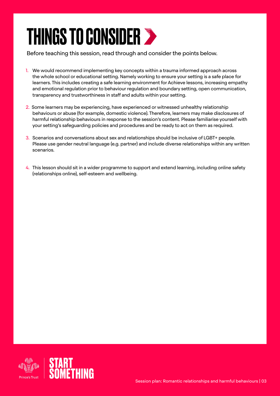## <span id="page-2-0"></span>THINGS TO CONSIDER >

Before teaching this session, read through and consider the points below.

- 1. We would recommend implementing key concepts within a trauma informed approach across the whole school or educational setting. Namely working to ensure your setting is a safe place for learners. This includes creating a safe learning environment for Achieve lessons, increasing empathy and emotional regulation prior to behaviour regulation and boundary setting, open communication, transparency and trustworthiness in staff and adults within your setting.
- 2. Some learners may be experiencing, have experienced or witnessed unhealthy relationship behaviours or abuse (for example, domestic violence). Therefore, learners may make disclosures of harmful relationship behaviours in response to the session's content. Please familiarise yourself with your setting's safeguarding policies and procedures and be ready to act on them as required.
- 3. Scenarios and conversations about sex and relationships should be inclusive of LGBT+ people. Please use gender neutral language (e.g. partner) and include diverse relationships within any written scenarios.
- 4. This lesson should sit in a wider programme to support and extend learning, including online safety (relationships online), self-esteem and wellbeing.

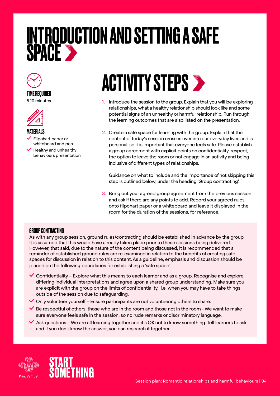### <span id="page-3-0"></span>INTRODUCTION AND SETTING A SAFE SPACE



#### TIME REQUIRED

5-10 minutes



#### MATERIALS

- Flipchart paper or whiteboard and pen
- $\blacktriangleright$  Healthy and unhealthy behaviours presentation

## **ACTIVITY STEPS >**

- 1. Introduce the session to the group. Explain that you will be exploring relationships, what a healthy relationship should look like and some potential signs of an unhealthy or harmful relationship. Run through the learning outcomes that are also listed on the presentation.
- 2. Create a safe space for learning with the group. Explain that the content of today's session crosses over into our everyday lives and is personal, so it is important that everyone feels safe. Please establish a group agreement with explicit points on confidentiality, respect, the option to leave the room or not engage in an activity and being inclusive of different types of relationships.

Guidance on what to include and the importance of not skipping this step is outlined below, under the heading 'Group contracting'.

3. Bring out your agreed group agreement from the previous session and ask if there are any points to add. Record your agreed rules onto flipchart paper or a whiteboard and leave it displayed in the room for the duration of the sessions, for reference.

#### GROUP CONTRACTING

As with any group session, ground rules/contracting should be established in advance by the group. It is assumed that this would have already taken place prior to these sessions being delivered. However, that said, due to the nature of the content being discussed, it is recommended that a reminder of established ground rules are re-examined in relation to the benefits of creating safe spaces for discussion in relation to this content. As a guideline, emphasis and discussion should be placed on the following boundaries for establishing a 'safe space':

- $\checkmark$  Confidentiality Explore what this means to each learner and as a group. Recognise and explore differing individual interpretations and agree upon a shared group understanding. Make sure you are explicit with the group on the limits of confidentiality, i.e. when you may have to take things outside of the session due to safeguarding.
- $\checkmark$  Only volunteer yourself Ensure participants are not volunteering others to share.
- $\blacktriangleright$  Be respectful of others, those who are in the room and those not in the room We want to make sure everyone feels safe in the session, so no rude remarks or discriminatory language.
- $\blacktriangleright$  Ask questions We are all learning together and it's OK not to know something. Tell learners to ask and if you don't know the answer, you can research it together.



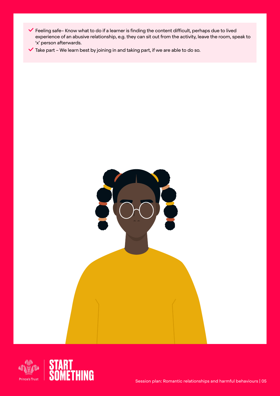- Feeling safe– Know what to do if a learner is finding the content difficult, perhaps due to lived experience of an abusive relationship, e.g. they can sit out from the activity, leave the room, speak to 'x' person afterwards.
- $\checkmark$  Take part We learn best by joining in and taking part, if we are able to do so.

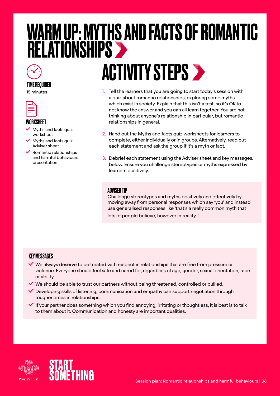## <span id="page-5-0"></span>WARM UP: MYTHS AND FACTS OF ROMANTIC **RELATIONSHIPS**

# **ACTIVITY STEPS >**

- 1. Tell the learners that you are going to start today's session with a quiz about romantic relationships, exploring some myths which exist in society. Explain that this isn't a test, so it's OK to not know the answer and you can all learn together. You are not thinking about anyone's relationship in particular, but romantic relationships in general.
- 2. Hand out the Myths and facts quiz worksheets for learners to complete, either individually or in groups. Alternatively, read out each statement and ask the group if it's a myth or fact.
- 3. Debrief each statement using the Adviser sheet and key messages. below. Ensure you challenge stereotypes or myths expressed by learners positively.

#### ADVISER TIP

Challenge stereotypes and myths positively and effectively by moving away from personal responses which say 'you' and instead use generalised responses like 'that's a really common myth that lots of people believe, however in reality…'

#### KEY MESSAGES

TIME REQUIRED 15 minutes

WORKSHEET

 $\vee$  Myths and facts quiz worksheet

Myths and facts quiz Adviser sheet Romantic relationships and harmful behaviours

presentation

- $\vee$  We always deserve to be treated with respect in relationships that are free from pressure or violence. Everyone should feel safe and cared for, regardless of age, gender, sexual orientation, race or ability.
- We should be able to trust our partners without being threatened, controlled or bullied.
- Developing skills of listening, communication and empathy can support negotiation through tougher times in relationships.
- $\blacktriangledown$  If your partner does something which you find annoying, irritating or thoughtless, it is best is to talk to them about it. Communication and honesty are important qualities.

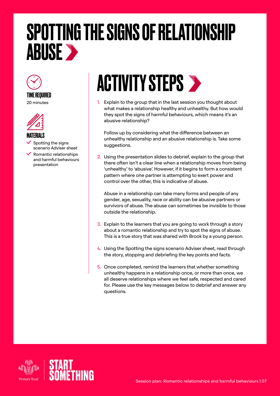## <span id="page-6-0"></span>SPOTTING THE SIGNS OF RELATIONSHIP **ABUSE >**



TIME REQUIRED 20 minutes



#### MATERIALS

 Spotting the signs scenario Adviser sheet

 Romantic relationships and harmful behaviours presentation

## **ACTIVITY STEPS >**

1. Explain to the group that in the last session you thought about what makes a relationship healthy and unhealthy. But how would they spot the signs of harmful behaviours, which means it's an abusive relationship?

Follow up by considering what the difference between an unhealthy relationship and an abusive relationship is. Take some suggestions.

2. Using the presentation slides to debrief, explain to the group that there often isn't a clear line when a relationship moves from being 'unhealthy' to 'abusive'. However, if it begins to form a consistent pattern where one partner is attempting to exert power and control over the other, this is indicative of abuse.

Abuse in a relationship can take many forms and people of any gender, age, sexuality, race or ability can be abusive partners or survivors of abuse. The abuse can sometimes be invisible to those outside the relationship.

- 3. Explain to the learners that you are going to work through a story about a romantic relationship and try to spot the signs of abuse. This is a true story that was shared with Brook by a young person.
- 4. Using the Spotting the signs scenario Adviser sheet, read through the story, stopping and debriefing the key points and facts.
- 5. Once completed, remind the learners that whether something unhealthy happens in a relationship once, or more than once, we all deserve relationships where we feel safe, respected and cared for. Please use the key messages below to debrief and answer any questions.

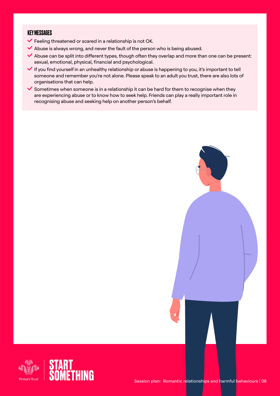#### KEY MESSAGES

- $\blacktriangleright$  Feeling threatened or scared in a relationship is not OK.
- $\blacktriangleright$  Abuse is always wrong, and never the fault of the person who is being abused.
- $\blacktriangleright$  Abuse can be split into different types, though often they overlap and more than one can be present: sexual, emotional, physical, financial and psychological.
- $\blacktriangledown$  If you find yourself in an unhealthy relationship or abuse is happening to you, it's important to tell someone and remember you're not alone. Please speak to an adult you trust, there are also lots of organisations that can help.
- $\checkmark$  Sometimes when someone is in a relationship it can be hard for them to recognise when they are experiencing abuse or to know how to seek help. Friends can play a really important role in recognising abuse and seeking help on another person's behalf.



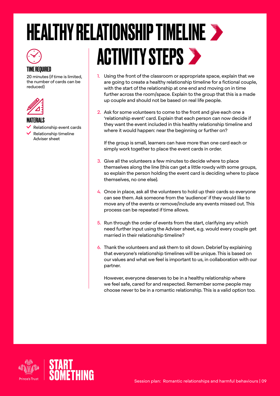### <span id="page-8-0"></span>HEALTHY RELATIONSHIP TIMELINE TIME REQUIRED **ACTIVITY STEPS >**

- 1. Using the front of the classroom or appropriate space, explain that we are going to create a healthy relationship timeline for a fictional couple, with the start of the relationship at one end and moving on in time further across the room/space. Explain to the group that this is a made up couple and should not be based on real life people.
- 2. Ask for some volunteers to come to the front and give each one a 'relationship event' card. Explain that each person can now decide if they want the event included in this healthy relationship timeline and where it would happen: near the beginning or further on?

If the group is small, learners can have more than one card each or simply work together to place the event cards in order.

- 3. Give all the volunteers a few minutes to decide where to place themselves along the line (this can get a little rowdy with some groups, so explain the person holding the event card is deciding where to place themselves, no one else).
- 4. Once in place, ask all the volunteers to hold up their cards so everyone can see them. Ask someone from the 'audience' if they would like to move any of the events or remove/include any events missed out. This process can be repeated if time allows.
- 5. Run through the order of events from the start, clarifying any which need further input using the Adviser sheet, e.g. would every couple get married in their relationship timeline?
- 6. Thank the volunteers and ask them to sit down. Debrief by explaining that everyone's relationship timelines will be unique. This is based on our values and what we feel is important to us, in collaboration with our partner.

However, everyone deserves to be in a healthy relationship where we feel safe, cared for and respected. Remember some people may choose never to be in a romantic relationship. This is a valid option too.



20 minutes (if time is limited, the number of cards can be

 Relationship event cards Relationship timeline Adviser sheet

reduced)

MATERIALS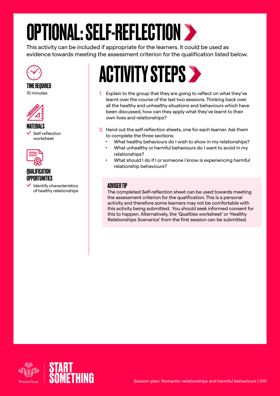# <span id="page-9-0"></span>OPTIONAL: SELF-REFLECTION

This activity can be included if appropriate for the learners. It could be used as evidence towards meeting the assessment criterion for the qualification listed below.



#### TIME REQUIRED 10 minutes



MATERIALS Self-reflection worksheet



#### QUALIFICATION OPPORTUNITIES

 Identify characteristics of healthy relationships

## **ACTIVITY STEPS >**

- 1. Explain to the group that they are going to reflect on what they've learnt over the course of the last two sessions. Thinking back over all the healthy and unhealthy situations and behaviours which have been discussed, how can they apply what they've learnt to their own lives and relationships?
- 2. Hand out the self-reflection sheets, one for each learner. Ask them to complete the three sections:
	- What healthy behaviours do I wish to show in my relationships?
	- What unhealthy or harmful behaviours do I want to avoid in my relationships?
	- What should I do if I or someone I know is experiencing harmful relationship behaviours?

#### ADVISER TIP

The completed Self-reflection sheet can be used towards meeting the assessment criterion for the qualification. This is a personal activity and therefore some learners may not be comfortable with this activity being submitted. You should seek informed consent for this to happen. Alternatively, the 'Qualities worksheet' or 'Healthy Relationships Scenarios' from the first session can be submitted.

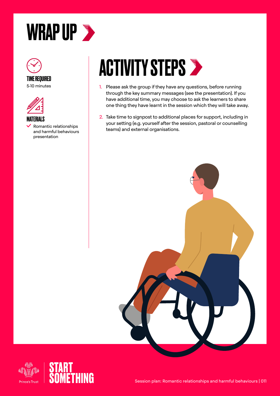<span id="page-10-0"></span>





MATERIALS Romantic relationships and harmful behaviours presentation

## **ACTIVITY STEPS >**

- 1. Please ask the group if they have any questions, before running through the key summary messages (see the presentation). If you have additional time, you may choose to ask the learners to share one thing they have learnt in the session which they will take away.
- 2. Take time to signpost to additional places for support, including in your setting (e.g. yourself after the session, pastoral or counselling teams) and external organisations.